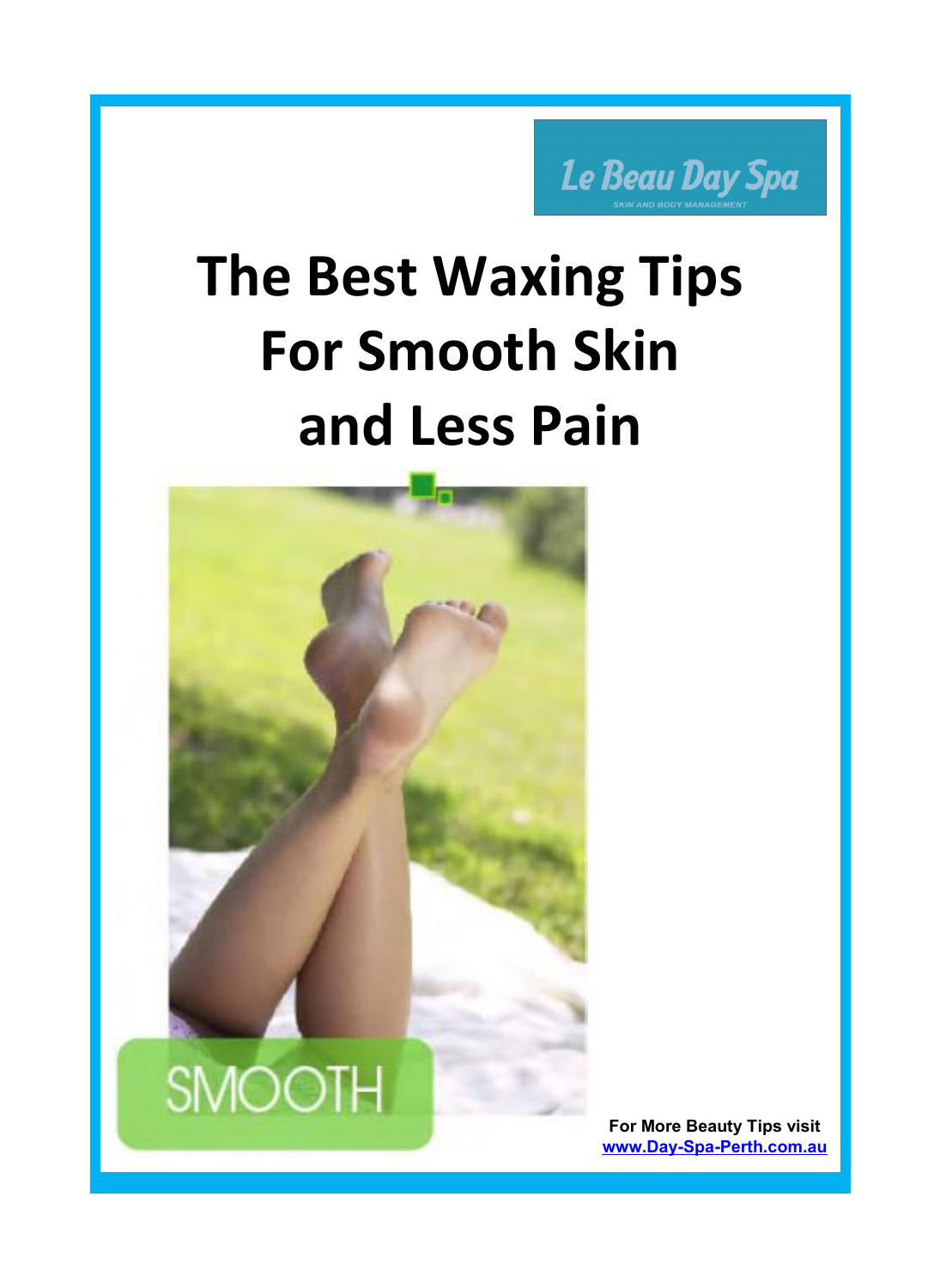Le Beau Day Spa

## **The Best Waxing Tips For Smooth Skin and Less Pain**

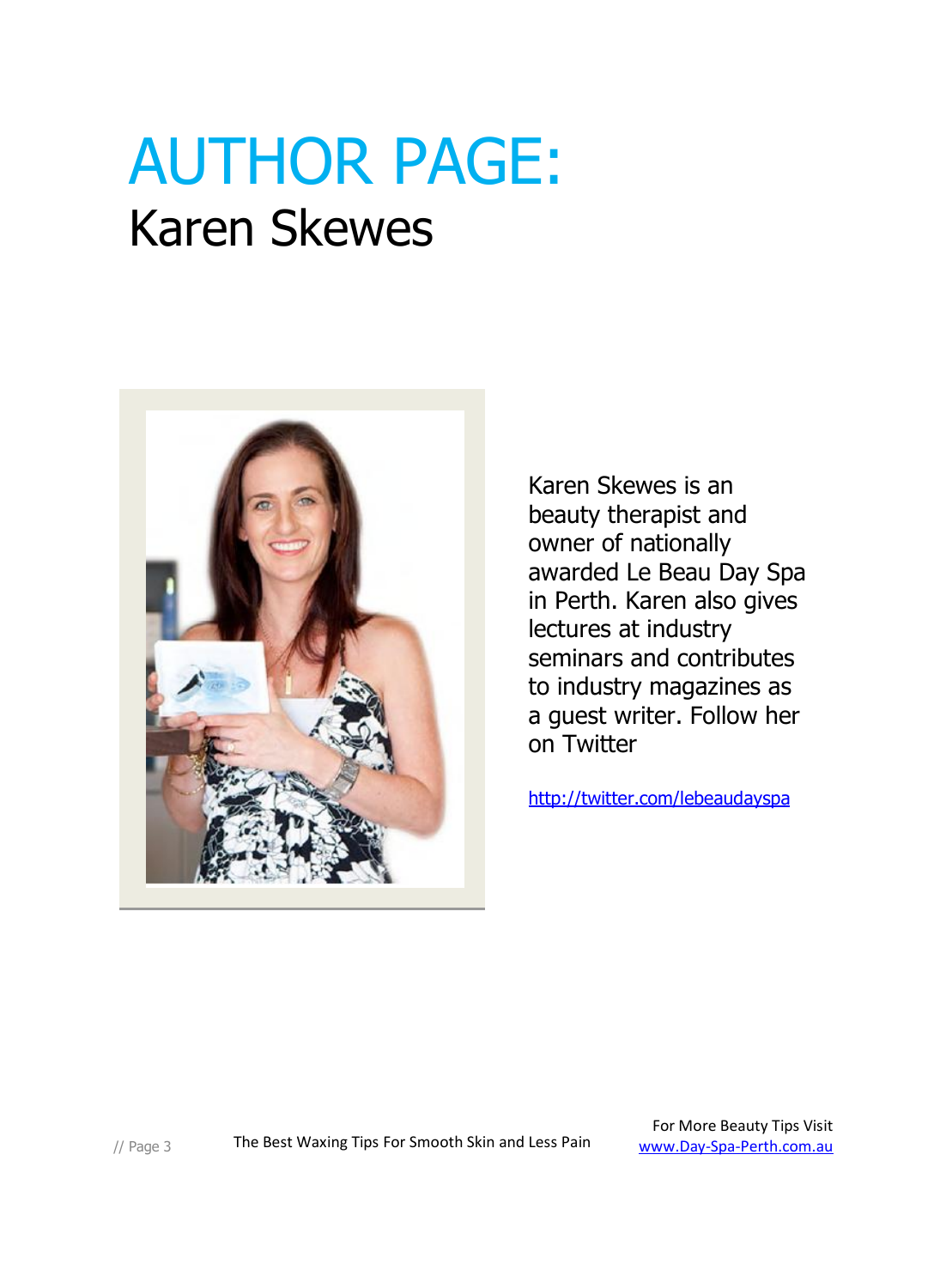### AUTHOR PAGE: Karen Skewes



Karen Skewes is an beauty therapist and owner of nationally awarded Le Beau Day Spa in Perth. Karen also gives lectures at industry seminars and contributes to industry magazines as a guest writer. Follow her on Twitter

<http://twitter.com/lebeaudayspa>

// Page 3 The Best Waxing Tips For Smooth Skin and Less Pain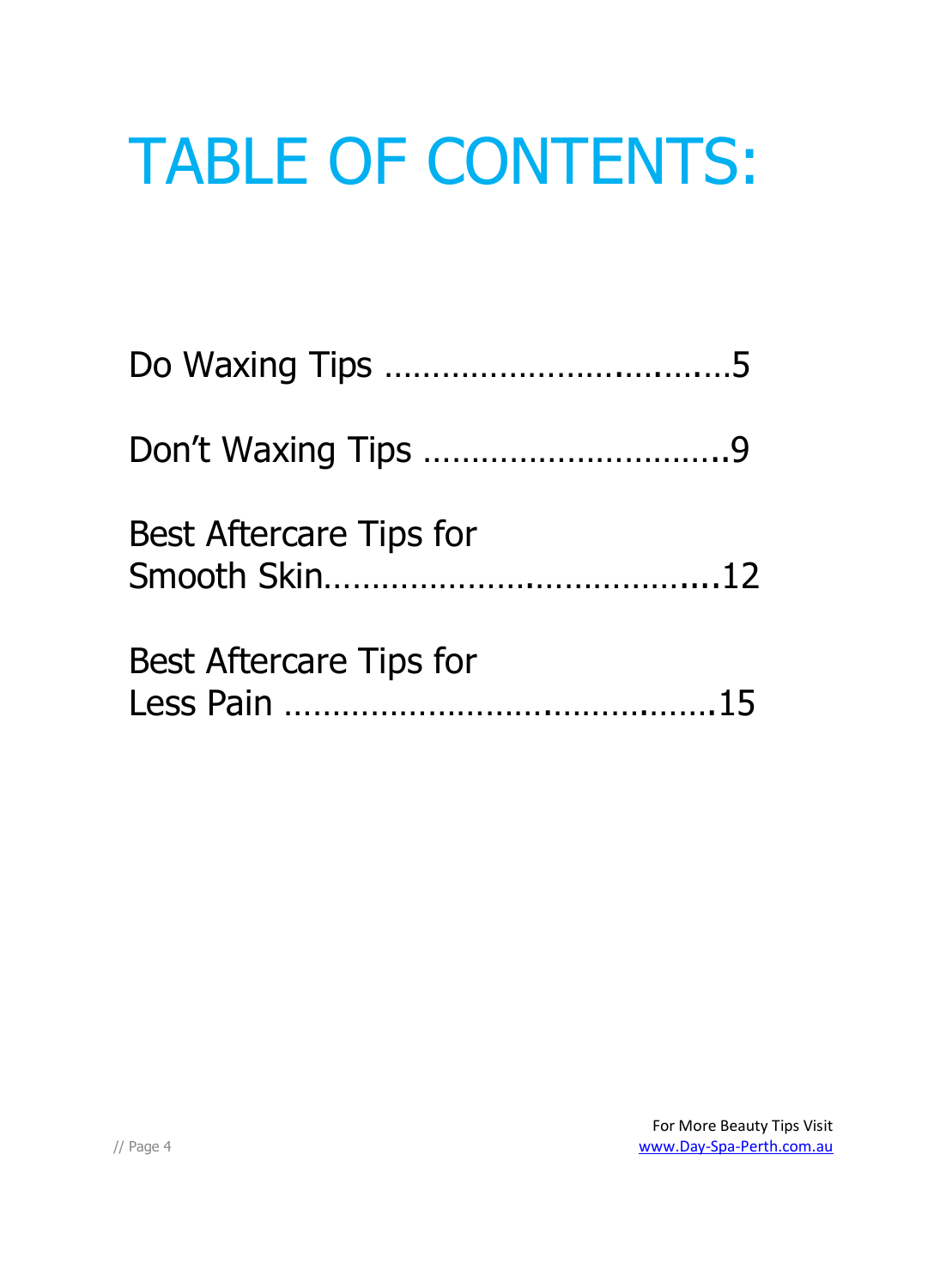# TABLE OF CONTENTS:

| <b>Best Aftercare Tips for</b> |  |
|--------------------------------|--|
| <b>Best Aftercare Tips for</b> |  |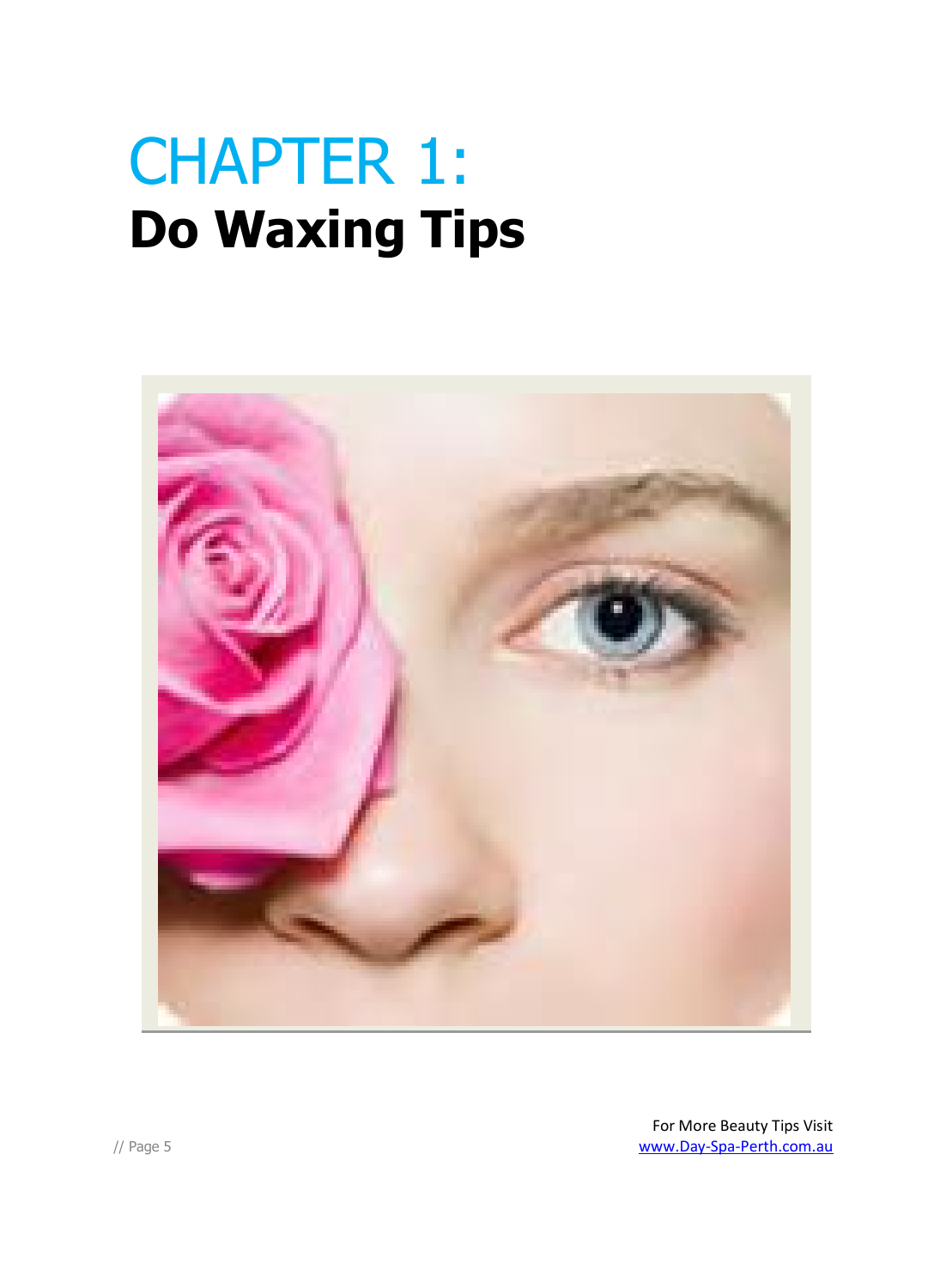### CHAPTER 1: **Do Waxing Tips**

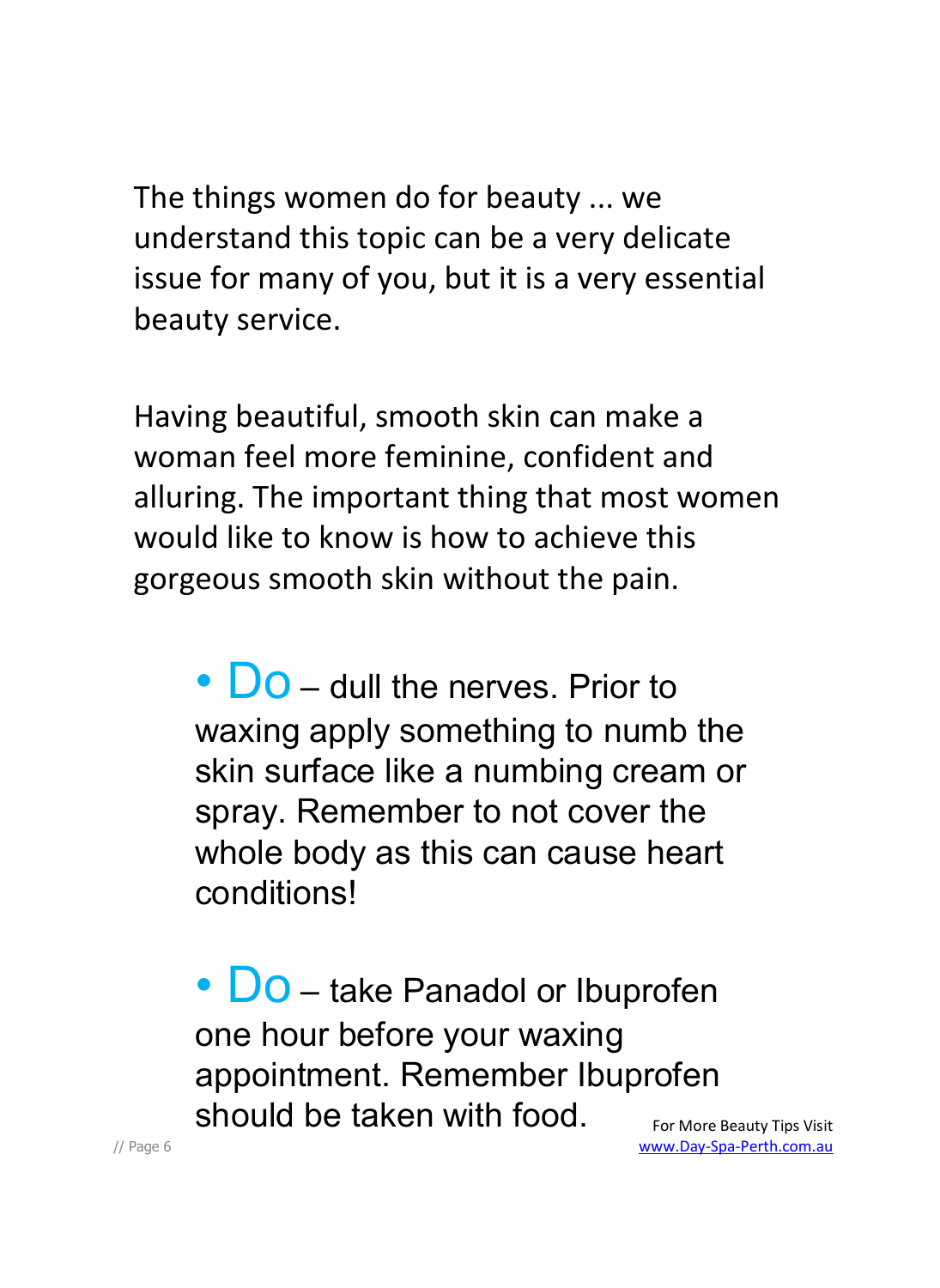The things women do for beauty ... we understand this topic can be a very delicate issue for many of you, but it is a very essential beauty service.

Having beautiful, smooth skin can make a woman feel more feminine, confident and alluring. The important thing that most women would like to know is how to achieve this gorgeous smooth skin without the pain.

• **DO** – dull the nerves. Prior to waxing apply something to numb the skin surface like a numbing cream or spray. Remember to not cover the whole body as this can cause heart conditions!

• **DO** – take Panadol or Ibuprofen one hour before your waxing appointment. Remember Ibuprofen should be taken with food.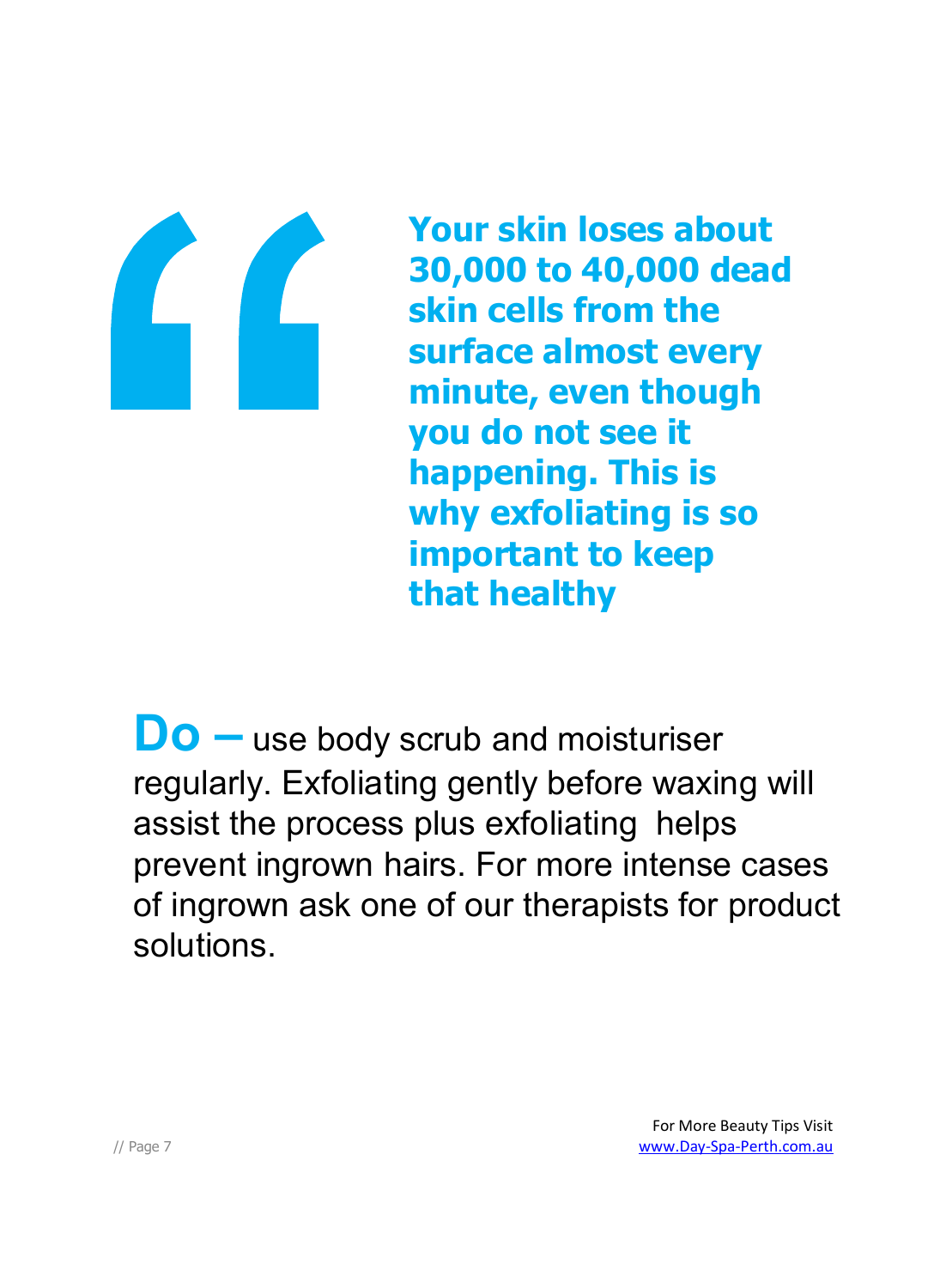

**Your skin loses about 30,000 to 40,000 dead skin cells from the surface almost every minute, even though you do not see it happening. This is why exfoliating is so important to keep that healthy**

**Do –** use body scrub and moisturiser regularly. Exfoliating gently before waxing will assist the process plus exfoliating helps prevent ingrown hairs. For more intense cases of ingrown ask one of our therapists for product solutions.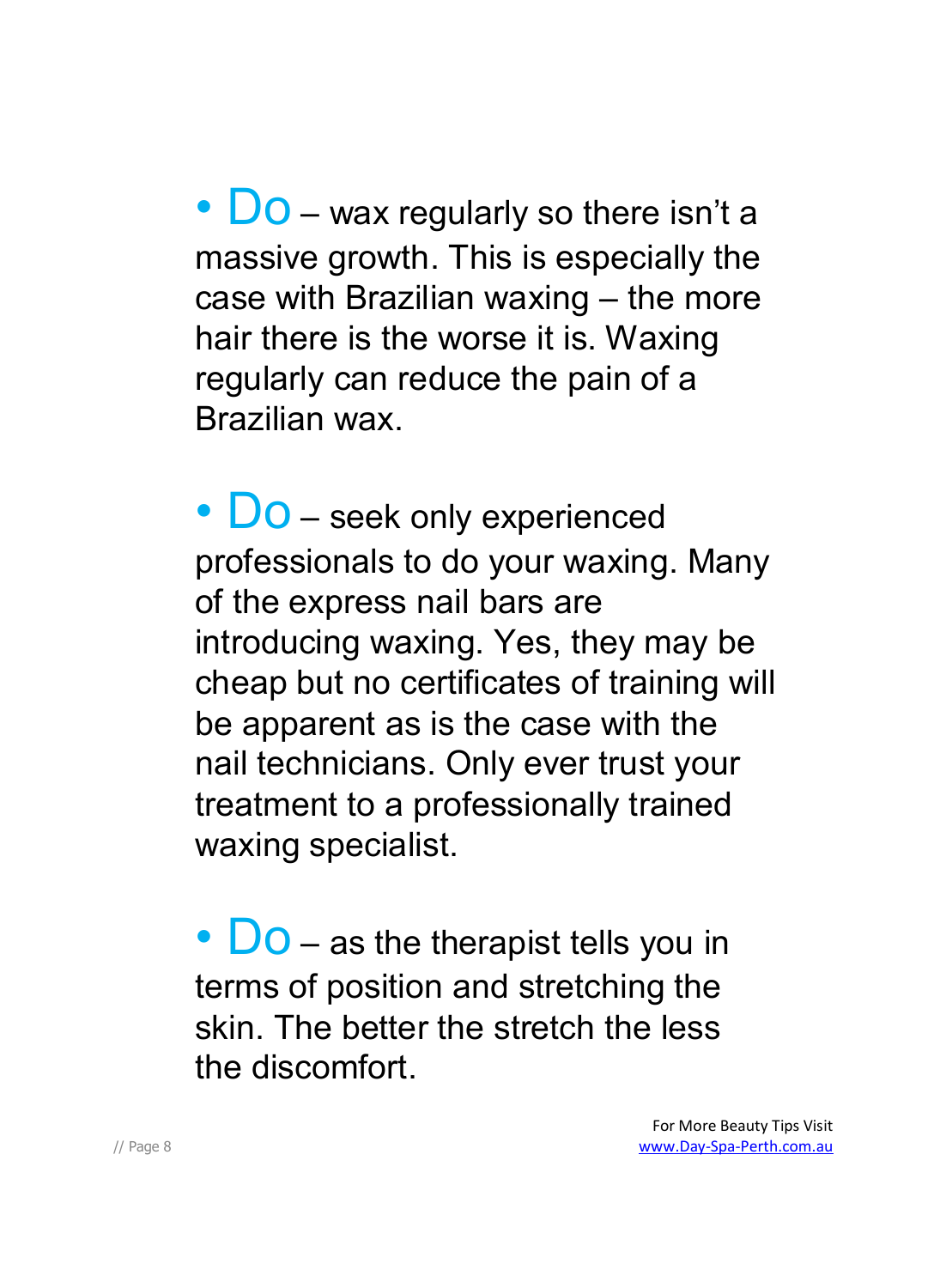•  $\bigcup$  O – wax regularly so there isn't a massive growth. This is especially the case with Brazilian waxing – the more hair there is the worse it is. Waxing regularly can reduce the pain of a Brazilian wax.

• **Do** – seek only experienced professionals to do your waxing. Many of the express nail bars are introducing waxing. Yes, they may be cheap but no certificates of training will be apparent as is the case with the nail technicians. Only ever trust your treatment to a professionally trained waxing specialist.

•  $\overline{D}$  – as the therapist tells you in terms of position and stretching the skin. The better the stretch the less the discomfort.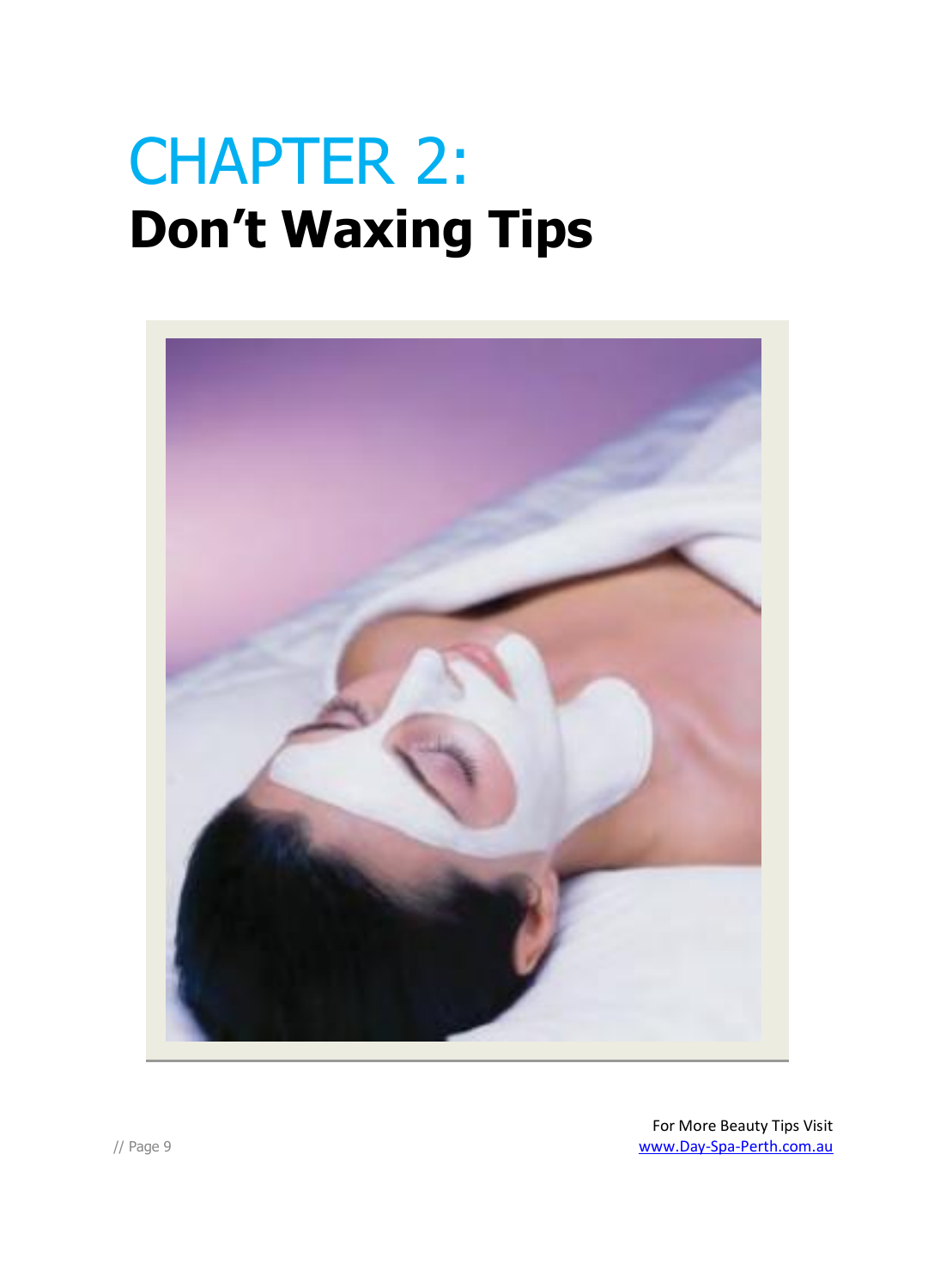### CHAPTER 2: **Don't Waxing Tips**

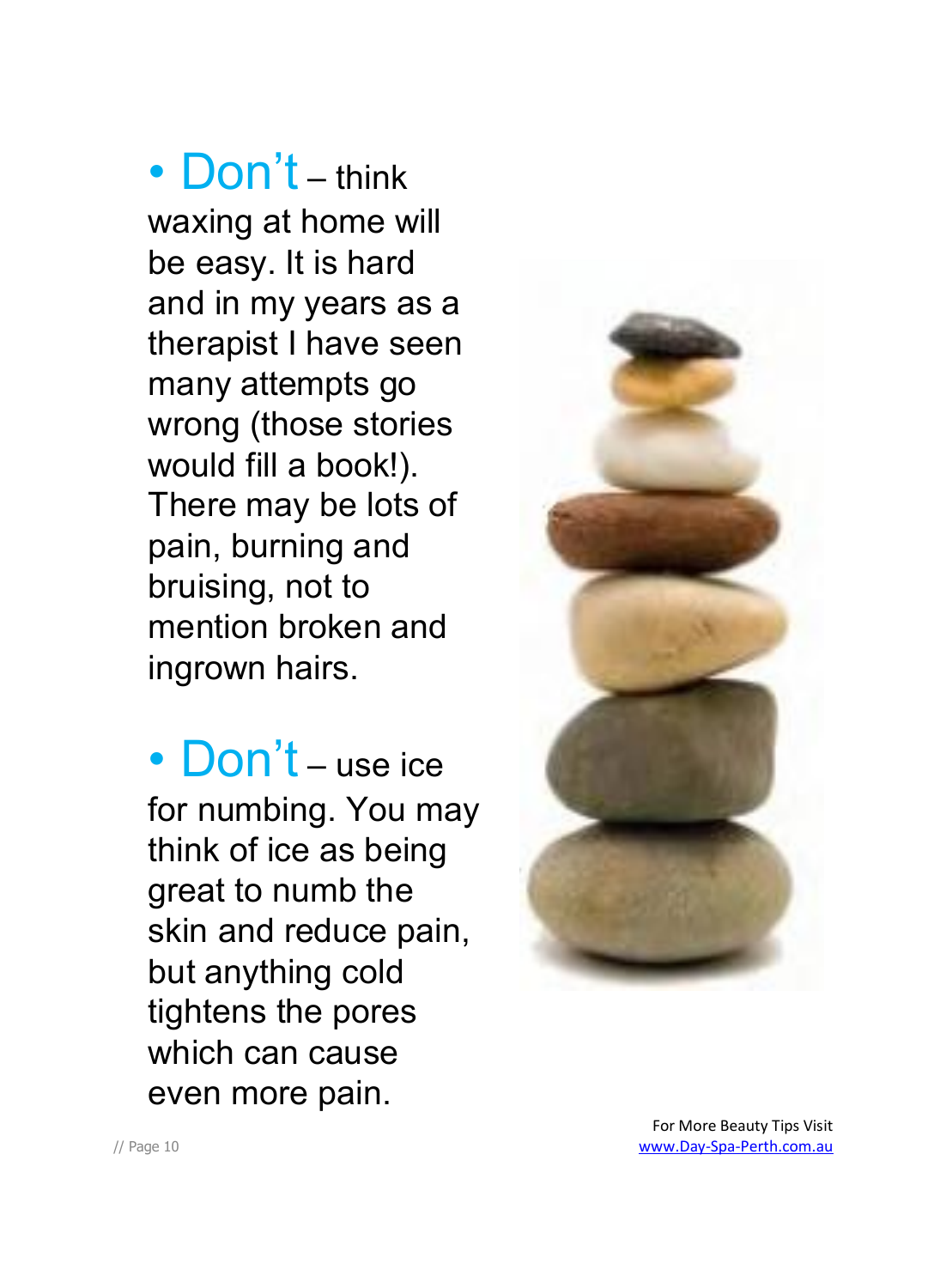• Don't – think waxing at home will be easy. It is hard and in my years as a therapist I have seen many attempts go wrong (those stories would fill a book!). There may be lots of pain, burning and bruising, not to mention broken and ingrown hairs.

• Don't – use ice for numbing. You may think of ice as being great to numb the skin and reduce pain, but anything cold tightens the pores which can cause even more pain.

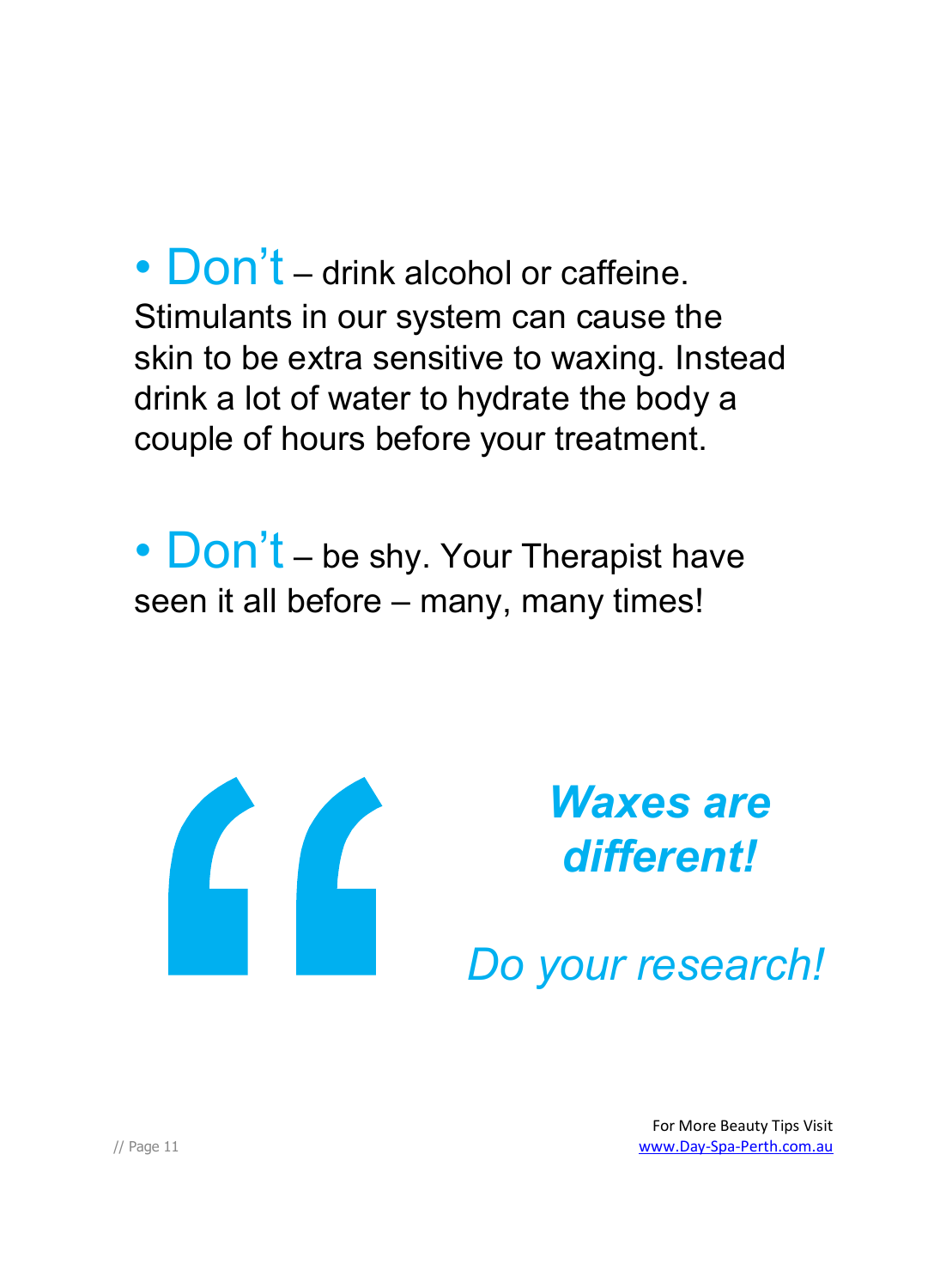• Don't – drink alcohol or caffeine. Stimulants in our system can cause the skin to be extra sensitive to waxing. Instead drink a lot of water to hydrate the body a couple of hours before your treatment.

• Don't – be shy. Your Therapist have seen it all before - many, many times!



*Waxes are different!*

*Do your research!*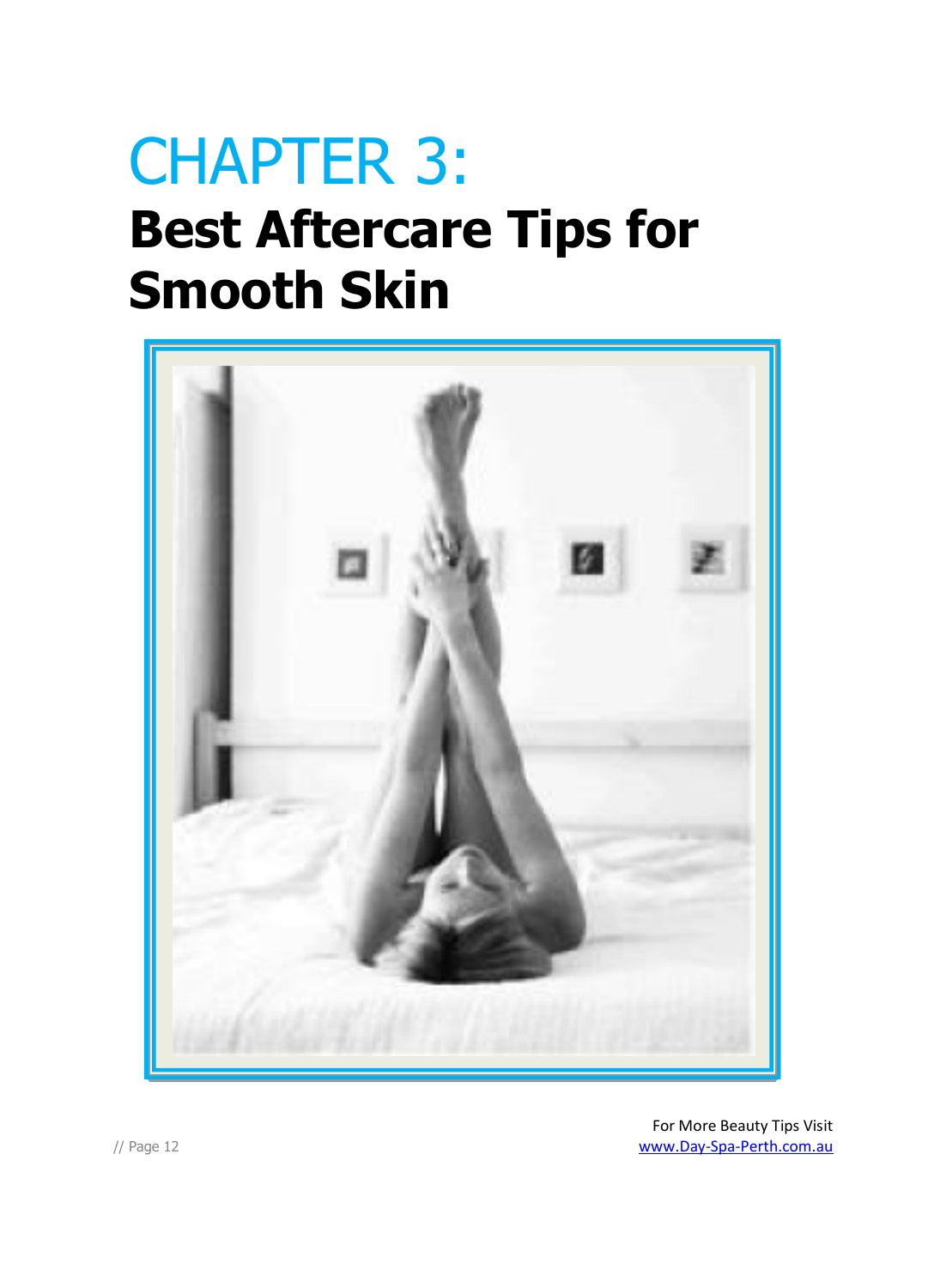### CHAPTER 3: **Best Aftercare Tips for Smooth Skin**

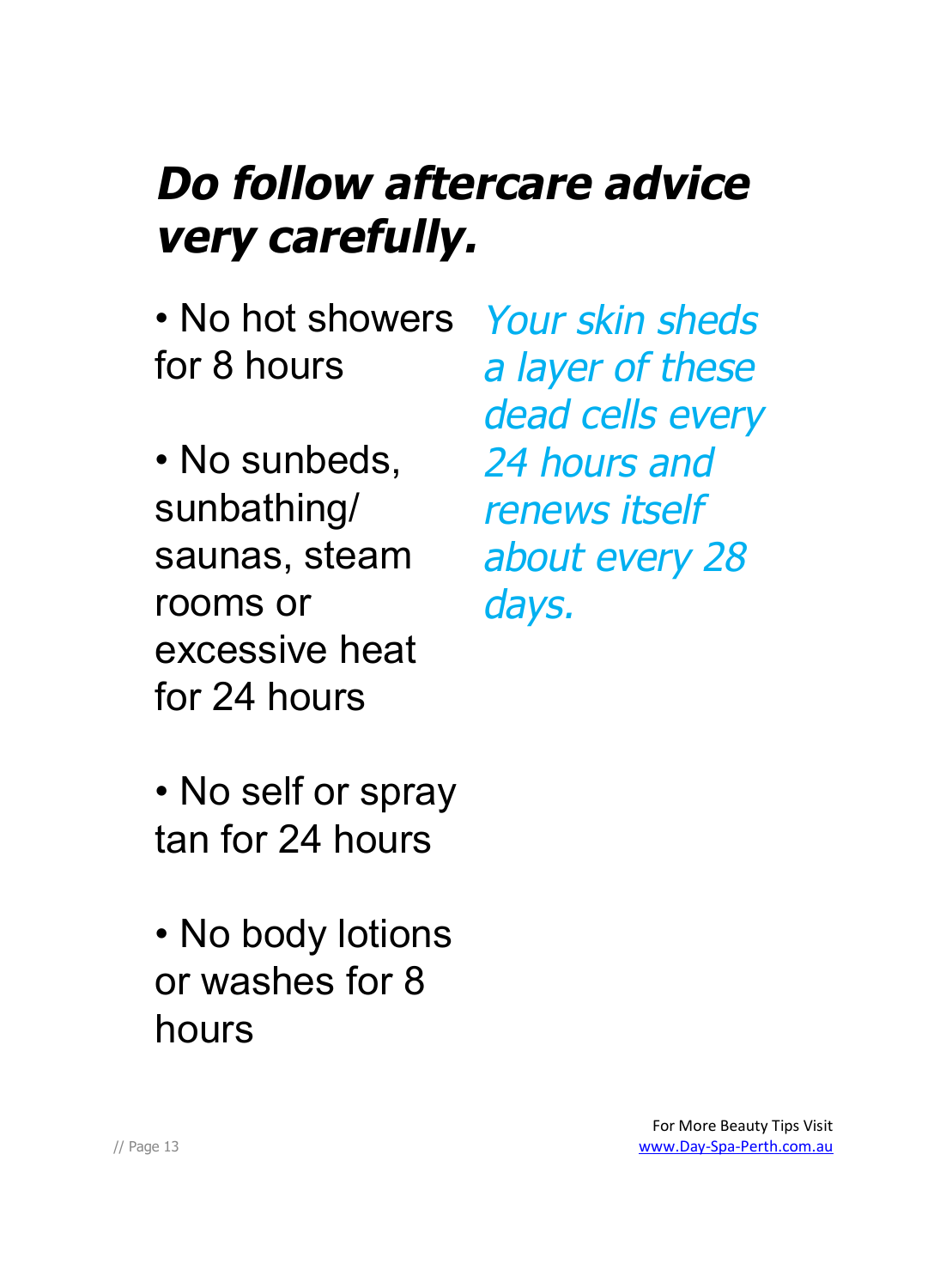#### *Do follow aftercare advice very carefully.*

- No hot showers for 8 hours
- No sunbeds, sunbathing/ saunas, steam rooms or excessive heat for 24 hours
- No self or spray tan for 24 hours
- No body lotions or washes for 8 hours

*Your skin sheds <sup>a</sup> layer of these dead cells every 24 hours and renews itself about every 28 days.*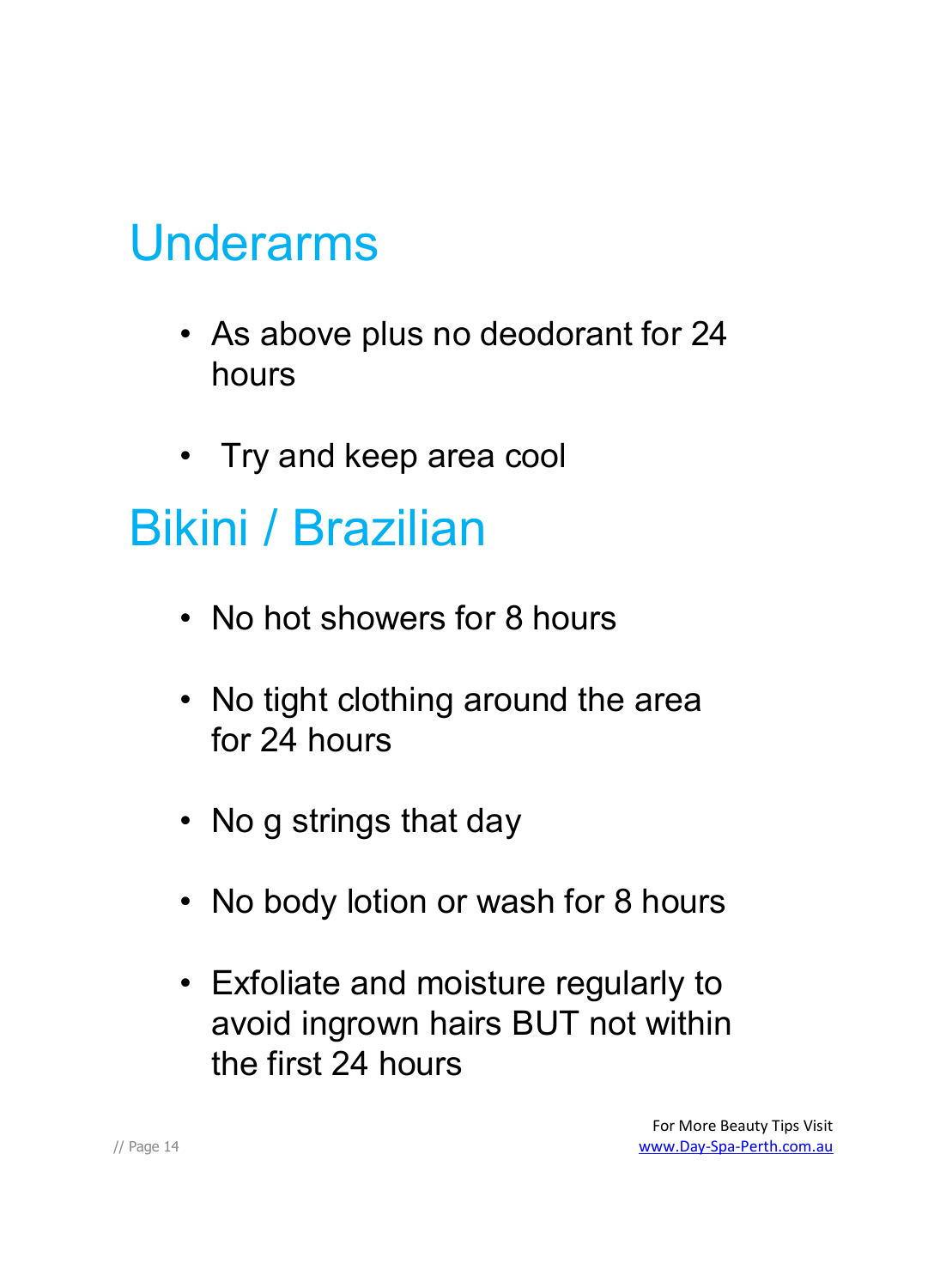#### Underarms

- As above plus no deodorant for 24 hours
- Try and keep area cool

#### Bikini / Brazilian

- No hot showers for 8 hours
- No tight clothing around the area for 24 hours
- No g strings that day
- No body lotion or wash for 8 hours
- Exfoliate and moisture regularly to avoid ingrown hairs BUT not within the first 24 hours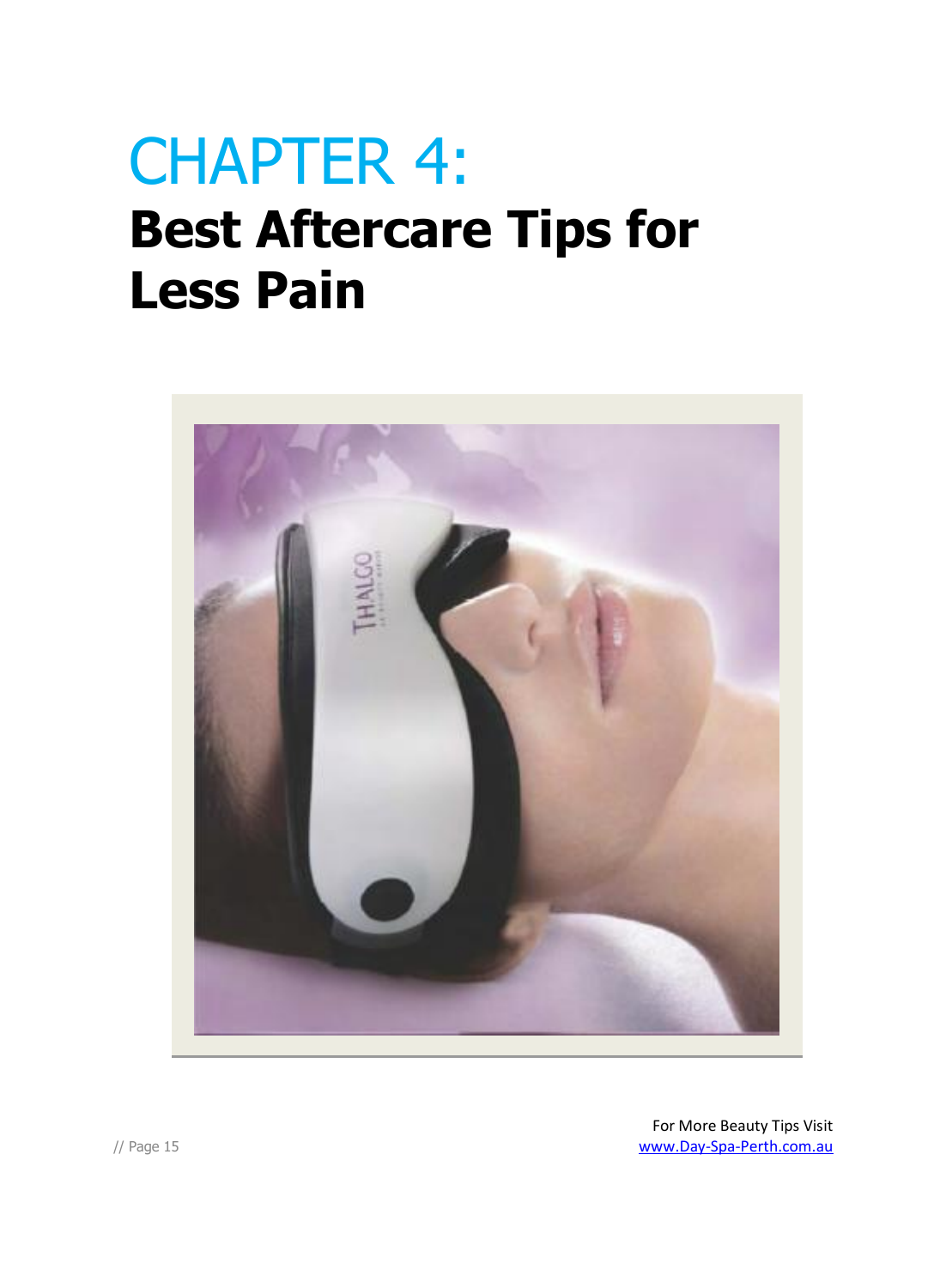### CHAPTER 4: **Best Aftercare Tips for Less Pain**

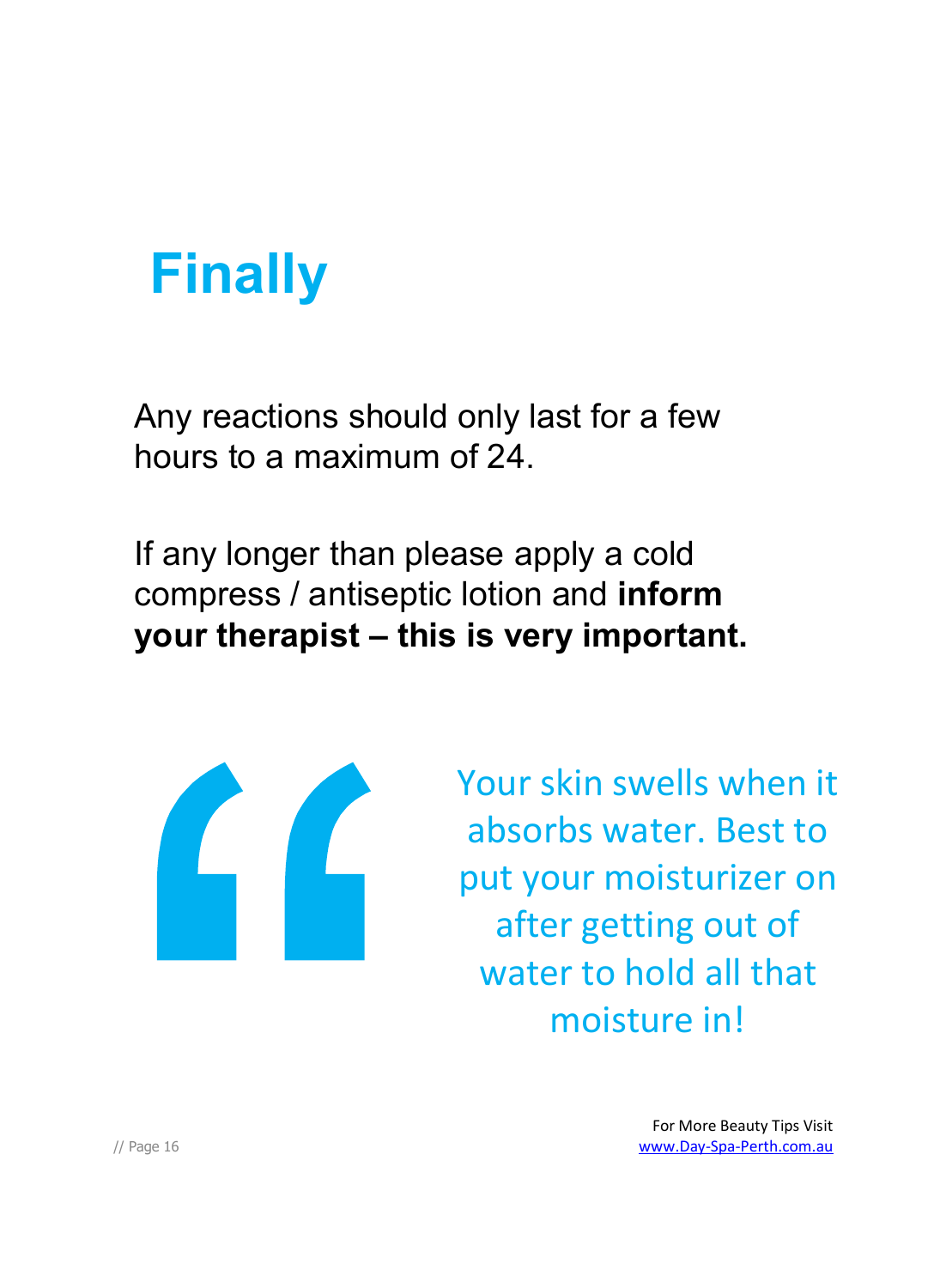### **Finally**

Any reactions should only last for a few hours to a maximum of 24.

If any longer than please apply a cold compress / antiseptic lotion and **inform your therapist – this is very important.**



Your skin swells when it absorbs water. Best to put your moisturizer on after getting out of water to hold all that moisture in!